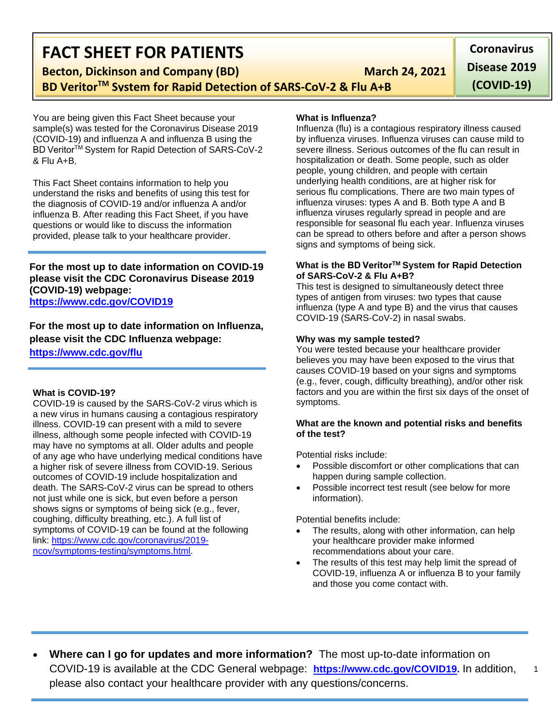## **FACT SHEET FOR PATIENTS**

**Becton, Dickinson and Company (BD)** March 24, 2021

**BD VeritorTM System for Rapid Detection of SARS-CoV-2 & Flu A+B**

You are being given this Fact Sheet because your sample(s) was tested for the Coronavirus Disease 2019 (COVID-19) and influenza A and influenza B using the BD VeritorTM System for Rapid Detection of SARS-CoV-2 & Flu A+B.

This Fact Sheet contains information to help you understand the risks and benefits of using this test for the diagnosis of COVID-19 and/or influenza A and/or influenza B. After reading this Fact Sheet, if you have questions or would like to discuss the information provided, please talk to your healthcare provider.

**For the most up to date information on COVID-19 please visit the CDC Coronavirus Disease 2019 (COVID-19) webpage: <https://www.cdc.gov/COVID19>**

**For the most up to date information on Influenza, please visit the CDC Influenza webpage: <https://www.cdc.gov/flu>**

#### **What is COVID-19?**

COVID-19 is caused by the SARS-CoV-2 virus which is a new virus in humans causing a contagious respiratory illness. COVID-19 can present with a mild to severe illness, although some people infected with COVID-19 may have no symptoms at all. Older adults and people of any age who have underlying medical conditions have a higher risk of severe illness from COVID-19. Serious outcomes of COVID-19 include hospitalization and death. The SARS-CoV-2 virus can be spread to others not just while one is sick, but even before a person shows signs or symptoms of being sick (e.g., fever, coughing, difficulty breathing, etc.). A full list of symptoms of COVID-19 can be found at the following link: [https://www.cdc.gov/coronavirus/2019](https://www.cdc.gov/coronavirus/2019-ncov/symptoms-testing/symptoms.html) [ncov/symptoms-testing/symptoms.html.](https://www.cdc.gov/coronavirus/2019-ncov/symptoms-testing/symptoms.html)

#### **What is Influenza?**

Influenza (flu) is a contagious respiratory illness caused by influenza viruses. Influenza viruses can cause mild to severe illness. Serious outcomes of the flu can result in hospitalization or death. Some people, such as older people, young children, and people with certain underlying health conditions, are at higher risk for serious flu complications. There are two main types of influenza viruses: types A and B. Both type A and B influenza viruses regularly spread in people and are responsible for seasonal flu each year. Influenza viruses can be spread to others before and after a person shows signs and symptoms of being sick.

#### **What is the BD VeritorTM System for Rapid Detection of SARS-CoV-2 & Flu A+B?**

This test is designed to simultaneously detect three types of antigen from viruses: two types that cause influenza (type A and type B) and the virus that causes COVID-19 (SARS-CoV-2) in nasal swabs.

#### **Why was my sample tested?**

You were tested because your healthcare provider believes you may have been exposed to the virus that causes COVID-19 based on your signs and symptoms (e.g., fever, cough, difficulty breathing), and/or other risk factors and you are within the first six days of the onset of symptoms.

#### **What are the known and potential risks and benefits of the test?**

Potential risks include:

- Possible discomfort or other complications that can happen during sample collection.
- Possible incorrect test result (see below for more information).

Potential benefits include:

- The results, along with other information, can help your healthcare provider make informed recommendations about your care.
- The results of this test may help limit the spread of COVID-19, influenza A or influenza B to your family and those you come contact with.

1

• **Where can I go for updates and more information?** The most up-to-date information on COVID-19 is available at the CDC General webpage: **[https://www.cdc.gov/COVID19.](https://www.cdc.gov/nCoV)** In addition, please also contact your healthcare provider with any questions/concerns.

**Coronavirus Disease 2019 (COVID-19)**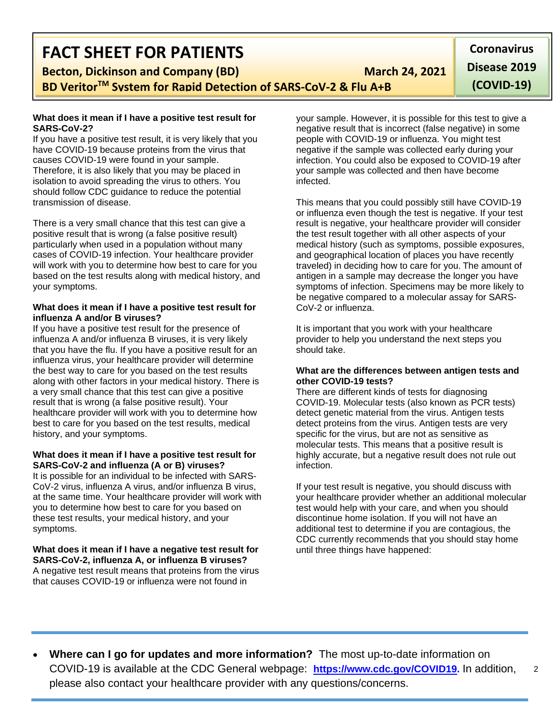## **FACT SHEET FOR PATIENTS**

**Becton, Dickinson and Company (BD)** March 24, 2021

**BD VeritorTM System for Rapid Detection of SARS-CoV-2 & Flu A+B**

#### **What does it mean if I have a positive test result for SARS-CoV-2?**

If you have a positive test result, it is very likely that you have COVID-19 because proteins from the virus that causes COVID-19 were found in your sample. Therefore, it is also likely that you may be placed in isolation to avoid spreading the virus to others. You should follow CDC guidance to reduce the potential transmission of disease.

There is a very small chance that this test can give a positive result that is wrong (a false positive result) particularly when used in a population without many cases of COVID-19 infection. Your healthcare provider will work with you to determine how best to care for you based on the test results along with medical history, and your symptoms.

#### **What does it mean if I have a positive test result for influenza A and/or B viruses?**

If you have a positive test result for the presence of influenza A and/or influenza B viruses, it is very likely that you have the flu. If you have a positive result for an influenza virus, your healthcare provider will determine the best way to care for you based on the test results along with other factors in your medical history. There is a very small chance that this test can give a positive result that is wrong (a false positive result). Your healthcare provider will work with you to determine how best to care for you based on the test results, medical history, and your symptoms.

#### **What does it mean if I have a positive test result for SARS-CoV-2 and influenza (A or B) viruses?**

It is possible for an individual to be infected with SARS-CoV-2 virus, influenza A virus, and/or influenza B virus, at the same time. Your healthcare provider will work with you to determine how best to care for you based on these test results, your medical history, and your symptoms.

**What does it mean if I have a negative test result for SARS-CoV-2, influenza A, or influenza B viruses?** A negative test result means that proteins from the virus that causes COVID-19 or influenza were not found in

your sample. However, it is possible for this test to give a negative result that is incorrect (false negative) in some people with COVID-19 or influenza. You might test negative if the sample was collected early during your infection. You could also be exposed to COVID-19 after your sample was collected and then have become infected.

This means that you could possibly still have COVID-19 or influenza even though the test is negative. If your test result is negative, your healthcare provider will consider the test result together with all other aspects of your medical history (such as symptoms, possible exposures, and geographical location of places you have recently traveled) in deciding how to care for you. The amount of antigen in a sample may decrease the longer you have symptoms of infection. Specimens may be more likely to be negative compared to a molecular assay for SARS-CoV-2 or influenza.

It is important that you work with your healthcare provider to help you understand the next steps you should take.

#### **What are the differences between antigen tests and other COVID-19 tests?**

There are different kinds of tests for diagnosing COVID-19. Molecular tests (also known as PCR tests) detect genetic material from the virus. Antigen tests detect proteins from the virus. Antigen tests are very specific for the virus, but are not as sensitive as molecular tests. This means that a positive result is highly accurate, but a negative result does not rule out infection.

If your test result is negative, you should discuss with your healthcare provider whether an additional molecular test would help with your care, and when you should discontinue home isolation. If you will not have an additional test to determine if you are contagious, the CDC currently recommends that you should stay home until three things have happened:

**Coronavirus Disease 2019 (COVID-19)**